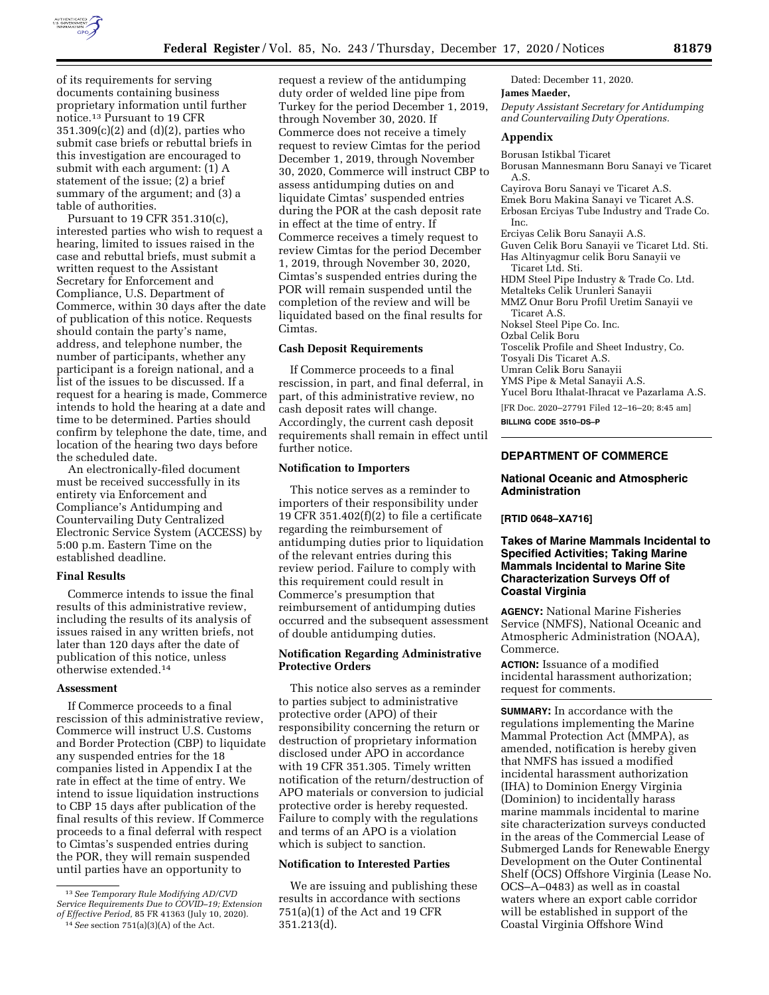

of its requirements for serving documents containing business proprietary information until further notice.13 Pursuant to 19 CFR 351.309(c)(2) and (d)(2), parties who submit case briefs or rebuttal briefs in this investigation are encouraged to submit with each argument: (1) A statement of the issue; (2) a brief summary of the argument; and (3) a table of authorities.

Pursuant to 19 CFR 351.310(c), interested parties who wish to request a hearing, limited to issues raised in the case and rebuttal briefs, must submit a written request to the Assistant Secretary for Enforcement and Compliance, U.S. Department of Commerce, within 30 days after the date of publication of this notice. Requests should contain the party's name, address, and telephone number, the number of participants, whether any participant is a foreign national, and a list of the issues to be discussed. If a request for a hearing is made, Commerce intends to hold the hearing at a date and time to be determined. Parties should confirm by telephone the date, time, and location of the hearing two days before the scheduled date.

An electronically-filed document must be received successfully in its entirety via Enforcement and Compliance's Antidumping and Countervailing Duty Centralized Electronic Service System (ACCESS) by 5:00 p.m. Eastern Time on the established deadline.

#### **Final Results**

Commerce intends to issue the final results of this administrative review, including the results of its analysis of issues raised in any written briefs, not later than 120 days after the date of publication of this notice, unless otherwise extended.14

#### **Assessment**

If Commerce proceeds to a final rescission of this administrative review, Commerce will instruct U.S. Customs and Border Protection (CBP) to liquidate any suspended entries for the 18 companies listed in Appendix I at the rate in effect at the time of entry. We intend to issue liquidation instructions to CBP 15 days after publication of the final results of this review. If Commerce proceeds to a final deferral with respect to Cimtas's suspended entries during the POR, they will remain suspended until parties have an opportunity to

request a review of the antidumping duty order of welded line pipe from Turkey for the period December 1, 2019, through November 30, 2020. If Commerce does not receive a timely request to review Cimtas for the period December 1, 2019, through November 30, 2020, Commerce will instruct CBP to assess antidumping duties on and liquidate Cimtas' suspended entries during the POR at the cash deposit rate in effect at the time of entry. If Commerce receives a timely request to review Cimtas for the period December 1, 2019, through November 30, 2020, Cimtas's suspended entries during the POR will remain suspended until the completion of the review and will be liquidated based on the final results for Cimtas.

#### **Cash Deposit Requirements**

If Commerce proceeds to a final rescission, in part, and final deferral, in part, of this administrative review, no cash deposit rates will change. Accordingly, the current cash deposit requirements shall remain in effect until further notice.

# **Notification to Importers**

This notice serves as a reminder to importers of their responsibility under 19 CFR 351.402 $(f)(2)$  to file a certificate regarding the reimbursement of antidumping duties prior to liquidation of the relevant entries during this review period. Failure to comply with this requirement could result in Commerce's presumption that reimbursement of antidumping duties occurred and the subsequent assessment of double antidumping duties.

# **Notification Regarding Administrative Protective Orders**

This notice also serves as a reminder to parties subject to administrative protective order (APO) of their responsibility concerning the return or destruction of proprietary information disclosed under APO in accordance with 19 CFR 351.305. Timely written notification of the return/destruction of APO materials or conversion to judicial protective order is hereby requested. Failure to comply with the regulations and terms of an APO is a violation which is subject to sanction.

# **Notification to Interested Parties**

We are issuing and publishing these results in accordance with sections 751(a)(1) of the Act and 19 CFR 351.213(d).

Dated: December 11, 2020.

### **James Maeder,**

*Deputy Assistant Secretary for Antidumping and Countervailing Duty Operations.* 

#### **Appendix**

Borusan Istikbal Ticaret Borusan Mannesmann Boru Sanayi ve Ticaret A.S. Cayirova Boru Sanayi ve Ticaret A.S. Emek Boru Makina Sanayi ve Ticaret A.S. Erbosan Erciyas Tube Industry and Trade Co. Inc. Erciyas Celik Boru Sanayii A.S. Guven Celik Boru Sanayii ve Ticaret Ltd. Sti. Has Altinyagmur celik Boru Sanayii ve Ticaret Ltd. Sti. HDM Steel Pipe Industry & Trade Co. Ltd. Metalteks Celik Urunleri Sanayii MMZ Onur Boru Profil Uretim Sanayii ve Ticaret A.S. Noksel Steel Pipe Co. Inc. Ozbal Celik Boru Toscelik Profile and Sheet Industry, Co. Tosyali Dis Ticaret A.S. Umran Celik Boru Sanayii YMS Pipe & Metal Sanayii A.S. Yucel Boru Ithalat-Ihracat ve Pazarlama A.S. [FR Doc. 2020–27791 Filed 12–16–20; 8:45 am]

**BILLING CODE 3510–DS–P** 

# **DEPARTMENT OF COMMERCE**

### **National Oceanic and Atmospheric Administration**

### **[RTID 0648–XA716]**

### **Takes of Marine Mammals Incidental to Specified Activities; Taking Marine Mammals Incidental to Marine Site Characterization Surveys Off of Coastal Virginia**

**AGENCY:** National Marine Fisheries Service (NMFS), National Oceanic and Atmospheric Administration (NOAA), Commerce.

**ACTION:** Issuance of a modified incidental harassment authorization; request for comments.

**SUMMARY:** In accordance with the regulations implementing the Marine Mammal Protection Act (MMPA), as amended, notification is hereby given that NMFS has issued a modified incidental harassment authorization (IHA) to Dominion Energy Virginia (Dominion) to incidentally harass marine mammals incidental to marine site characterization surveys conducted in the areas of the Commercial Lease of Submerged Lands for Renewable Energy Development on the Outer Continental Shelf (OCS) Offshore Virginia (Lease No. OCS–A–0483) as well as in coastal waters where an export cable corridor will be established in support of the Coastal Virginia Offshore Wind

<sup>13</sup>*See Temporary Rule Modifying AD/CVD Service Requirements Due to COVID–19; Extension of Effective Period,* 85 FR 41363 (July 10, 2020).

<sup>14</sup>*See* section 751(a)(3)(A) of the Act.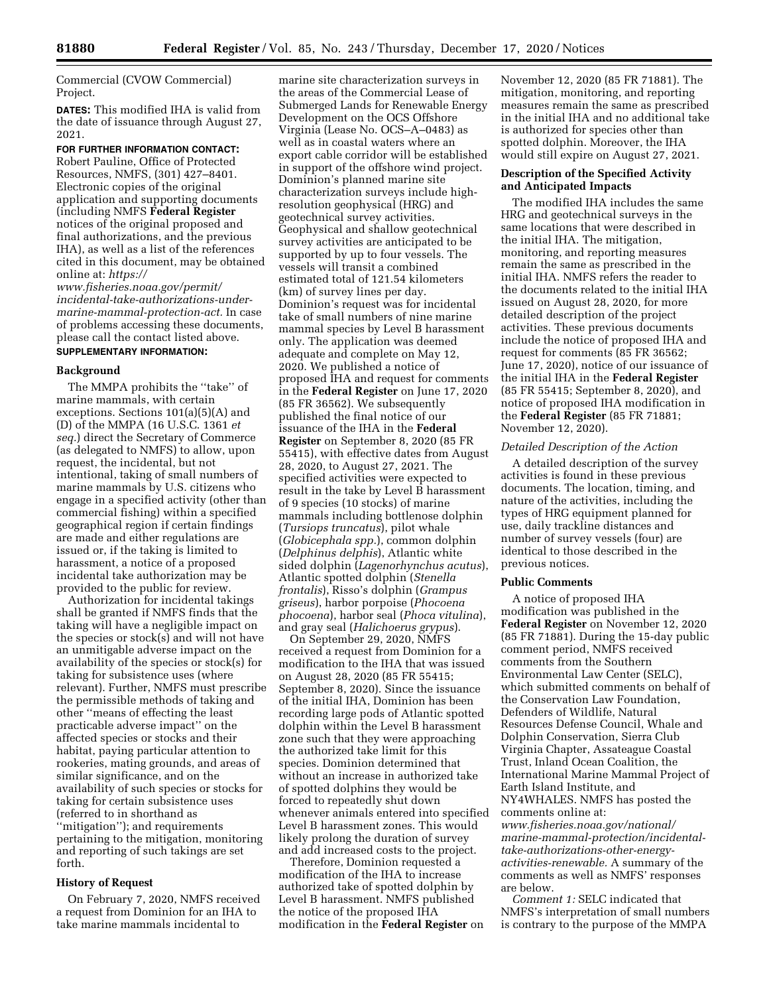Commercial (CVOW Commercial) Project.

**DATES:** This modified IHA is valid from the date of issuance through August 27, 2021.

**FOR FURTHER INFORMATION CONTACT:**  Robert Pauline, Office of Protected Resources, NMFS, (301) 427–8401. Electronic copies of the original application and supporting documents (including NMFS **Federal Register**  notices of the original proposed and final authorizations, and the previous IHA), as well as a list of the references cited in this document, may be obtained online at: *[https://](https://www.fisheries.noaa.gov/permit/incidental-take-authorizations-under-marine-mammal-protection-act)*

*[www.fisheries.noaa.gov/permit/](https://www.fisheries.noaa.gov/permit/incidental-take-authorizations-under-marine-mammal-protection-act)  [incidental-take-authorizations-under](https://www.fisheries.noaa.gov/permit/incidental-take-authorizations-under-marine-mammal-protection-act)[marine-mammal-protection-act.](https://www.fisheries.noaa.gov/permit/incidental-take-authorizations-under-marine-mammal-protection-act)* In case of problems accessing these documents, please call the contact listed above. **SUPPLEMENTARY INFORMATION:** 

# **Background**

The MMPA prohibits the "take" of marine mammals, with certain exceptions. Sections 101(a)(5)(A) and (D) of the MMPA (16 U.S.C. 1361 *et seq.*) direct the Secretary of Commerce (as delegated to NMFS) to allow, upon request, the incidental, but not intentional, taking of small numbers of marine mammals by U.S. citizens who engage in a specified activity (other than commercial fishing) within a specified geographical region if certain findings are made and either regulations are issued or, if the taking is limited to harassment, a notice of a proposed incidental take authorization may be provided to the public for review.

Authorization for incidental takings shall be granted if NMFS finds that the taking will have a negligible impact on the species or stock(s) and will not have an unmitigable adverse impact on the availability of the species or stock(s) for taking for subsistence uses (where relevant). Further, NMFS must prescribe the permissible methods of taking and other ''means of effecting the least practicable adverse impact'' on the affected species or stocks and their habitat, paying particular attention to rookeries, mating grounds, and areas of similar significance, and on the availability of such species or stocks for taking for certain subsistence uses (referred to in shorthand as ''mitigation''); and requirements pertaining to the mitigation, monitoring and reporting of such takings are set forth.

### **History of Request**

On February 7, 2020, NMFS received a request from Dominion for an IHA to take marine mammals incidental to

marine site characterization surveys in the areas of the Commercial Lease of Submerged Lands for Renewable Energy Development on the OCS Offshore Virginia (Lease No. OCS–A–0483) as well as in coastal waters where an export cable corridor will be established in support of the offshore wind project. Dominion's planned marine site characterization surveys include highresolution geophysical (HRG) and geotechnical survey activities. Geophysical and shallow geotechnical survey activities are anticipated to be supported by up to four vessels. The vessels will transit a combined estimated total of 121.54 kilometers (km) of survey lines per day. Dominion's request was for incidental take of small numbers of nine marine mammal species by Level B harassment only. The application was deemed adequate and complete on May 12, 2020. We published a notice of proposed IHA and request for comments in the **Federal Register** on June 17, 2020 (85 FR 36562). We subsequently published the final notice of our issuance of the IHA in the **Federal Register** on September 8, 2020 (85 FR 55415), with effective dates from August 28, 2020, to August 27, 2021. The specified activities were expected to result in the take by Level B harassment of 9 species (10 stocks) of marine mammals including bottlenose dolphin (*Tursiops truncatus*), pilot whale (*Globicephala spp.*), common dolphin (*Delphinus delphis*), Atlantic white sided dolphin (*Lagenorhynchus acutus*), Atlantic spotted dolphin (*Stenella frontalis*), Risso's dolphin (*Grampus griseus*), harbor porpoise (*Phocoena phocoena*), harbor seal (*Phoca vitulina*), and gray seal (*Halichoerus grypus*).

On September 29, 2020, NMFS received a request from Dominion for a modification to the IHA that was issued on August 28, 2020 (85 FR 55415; September 8, 2020). Since the issuance of the initial IHA, Dominion has been recording large pods of Atlantic spotted dolphin within the Level B harassment zone such that they were approaching the authorized take limit for this species. Dominion determined that without an increase in authorized take of spotted dolphins they would be forced to repeatedly shut down whenever animals entered into specified Level B harassment zones. This would likely prolong the duration of survey and add increased costs to the project.

Therefore, Dominion requested a modification of the IHA to increase authorized take of spotted dolphin by Level B harassment. NMFS published the notice of the proposed IHA modification in the **Federal Register** on November 12, 2020 (85 FR 71881). The mitigation, monitoring, and reporting measures remain the same as prescribed in the initial IHA and no additional take is authorized for species other than spotted dolphin. Moreover, the IHA would still expire on August 27, 2021.

### **Description of the Specified Activity and Anticipated Impacts**

The modified IHA includes the same HRG and geotechnical surveys in the same locations that were described in the initial IHA. The mitigation, monitoring, and reporting measures remain the same as prescribed in the initial IHA. NMFS refers the reader to the documents related to the initial IHA issued on August 28, 2020, for more detailed description of the project activities. These previous documents include the notice of proposed IHA and request for comments (85 FR 36562; June 17, 2020), notice of our issuance of the initial IHA in the **Federal Register**  (85 FR 55415; September 8, 2020), and notice of proposed IHA modification in the **Federal Register** (85 FR 71881; November 12, 2020).

### *Detailed Description of the Action*

A detailed description of the survey activities is found in these previous documents. The location, timing, and nature of the activities, including the types of HRG equipment planned for use, daily trackline distances and number of survey vessels (four) are identical to those described in the previous notices.

#### **Public Comments**

A notice of proposed IHA modification was published in the **Federal Register** on November 12, 2020 (85 FR 71881). During the 15-day public comment period, NMFS received comments from the Southern Environmental Law Center (SELC), which submitted comments on behalf of the Conservation Law Foundation, Defenders of Wildlife, Natural Resources Defense Council, Whale and Dolphin Conservation, Sierra Club Virginia Chapter, Assateague Coastal Trust, Inland Ocean Coalition, the International Marine Mammal Project of Earth Island Institute, and NY4WHALES. NMFS has posted the comments online at:

*[www.fisheries.noaa.gov/national/](https://www.fisheries.noaa.gov/national/marine-mammal-protection/incidental-take-authorizations-other-energy-activities-renewable)  [marine-mammal-protection/incidental](https://www.fisheries.noaa.gov/national/marine-mammal-protection/incidental-take-authorizations-other-energy-activities-renewable)[take-authorizations-other-energy](https://www.fisheries.noaa.gov/national/marine-mammal-protection/incidental-take-authorizations-other-energy-activities-renewable)[activities-renewable.](https://www.fisheries.noaa.gov/national/marine-mammal-protection/incidental-take-authorizations-other-energy-activities-renewable)* A summary of the comments as well as NMFS' responses are below.

*Comment 1:* SELC indicated that NMFS's interpretation of small numbers is contrary to the purpose of the MMPA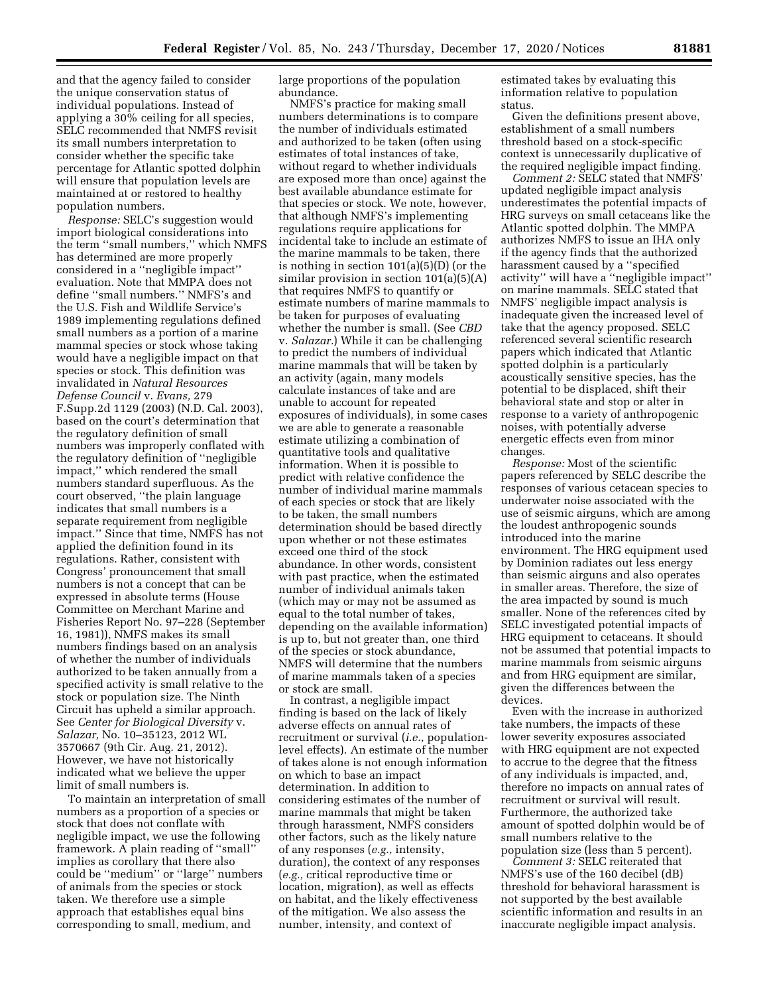and that the agency failed to consider the unique conservation status of individual populations. Instead of applying a 30% ceiling for all species, SELC recommended that NMFS revisit its small numbers interpretation to consider whether the specific take percentage for Atlantic spotted dolphin will ensure that population levels are maintained at or restored to healthy population numbers.

*Response:* SELC's suggestion would import biological considerations into the term ''small numbers,'' which NMFS has determined are more properly considered in a ''negligible impact'' evaluation. Note that MMPA does not define ''small numbers.'' NMFS's and the U.S. Fish and Wildlife Service's 1989 implementing regulations defined small numbers as a portion of a marine mammal species or stock whose taking would have a negligible impact on that species or stock. This definition was invalidated in *Natural Resources Defense Council* v. *Evans,* 279 F.Supp.2d 1129 (2003) (N.D. Cal. 2003), based on the court's determination that the regulatory definition of small numbers was improperly conflated with the regulatory definition of ''negligible impact,'' which rendered the small numbers standard superfluous. As the court observed, ''the plain language indicates that small numbers is a separate requirement from negligible impact.'' Since that time, NMFS has not applied the definition found in its regulations. Rather, consistent with Congress' pronouncement that small numbers is not a concept that can be expressed in absolute terms (House Committee on Merchant Marine and Fisheries Report No. 97–228 (September 16, 1981)), NMFS makes its small numbers findings based on an analysis of whether the number of individuals authorized to be taken annually from a specified activity is small relative to the stock or population size. The Ninth Circuit has upheld a similar approach. See *Center for Biological Diversity* v. *Salazar,* No. 10–35123, 2012 WL 3570667 (9th Cir. Aug. 21, 2012). However, we have not historically indicated what we believe the upper limit of small numbers is.

To maintain an interpretation of small numbers as a proportion of a species or stock that does not conflate with negligible impact, we use the following framework. A plain reading of ''small'' implies as corollary that there also could be ''medium'' or ''large'' numbers of animals from the species or stock taken. We therefore use a simple approach that establishes equal bins corresponding to small, medium, and

large proportions of the population abundance.

NMFS's practice for making small numbers determinations is to compare the number of individuals estimated and authorized to be taken (often using estimates of total instances of take, without regard to whether individuals are exposed more than once) against the best available abundance estimate for that species or stock. We note, however, that although NMFS's implementing regulations require applications for incidental take to include an estimate of the marine mammals to be taken, there is nothing in section 101(a)(5)(D) (or the similar provision in section 101(a)(5)(A) that requires NMFS to quantify or estimate numbers of marine mammals to be taken for purposes of evaluating whether the number is small. (See *CBD*  v. *Salazar.*) While it can be challenging to predict the numbers of individual marine mammals that will be taken by an activity (again, many models calculate instances of take and are unable to account for repeated exposures of individuals), in some cases we are able to generate a reasonable estimate utilizing a combination of quantitative tools and qualitative information. When it is possible to predict with relative confidence the number of individual marine mammals of each species or stock that are likely to be taken, the small numbers determination should be based directly upon whether or not these estimates exceed one third of the stock abundance. In other words, consistent with past practice, when the estimated number of individual animals taken (which may or may not be assumed as equal to the total number of takes, depending on the available information) is up to, but not greater than, one third of the species or stock abundance, NMFS will determine that the numbers of marine mammals taken of a species or stock are small.

In contrast, a negligible impact finding is based on the lack of likely adverse effects on annual rates of recruitment or survival (*i.e.,* populationlevel effects). An estimate of the number of takes alone is not enough information on which to base an impact determination. In addition to considering estimates of the number of marine mammals that might be taken through harassment, NMFS considers other factors, such as the likely nature of any responses (*e.g.,* intensity, duration), the context of any responses (*e.g.,* critical reproductive time or location, migration), as well as effects on habitat, and the likely effectiveness of the mitigation. We also assess the number, intensity, and context of

estimated takes by evaluating this information relative to population status.

Given the definitions present above, establishment of a small numbers threshold based on a stock-specific context is unnecessarily duplicative of the required negligible impact finding.

*Comment 2:* SELC stated that NMFS' updated negligible impact analysis underestimates the potential impacts of HRG surveys on small cetaceans like the Atlantic spotted dolphin. The MMPA authorizes NMFS to issue an IHA only if the agency finds that the authorized harassment caused by a ''specified activity'' will have a ''negligible impact'' on marine mammals. SELC stated that NMFS' negligible impact analysis is inadequate given the increased level of take that the agency proposed. SELC referenced several scientific research papers which indicated that Atlantic spotted dolphin is a particularly acoustically sensitive species, has the potential to be displaced, shift their behavioral state and stop or alter in response to a variety of anthropogenic noises, with potentially adverse energetic effects even from minor changes.

*Response:* Most of the scientific papers referenced by SELC describe the responses of various cetacean species to underwater noise associated with the use of seismic airguns, which are among the loudest anthropogenic sounds introduced into the marine environment. The HRG equipment used by Dominion radiates out less energy than seismic airguns and also operates in smaller areas. Therefore, the size of the area impacted by sound is much smaller. None of the references cited by SELC investigated potential impacts of HRG equipment to cetaceans. It should not be assumed that potential impacts to marine mammals from seismic airguns and from HRG equipment are similar, given the differences between the devices.

Even with the increase in authorized take numbers, the impacts of these lower severity exposures associated with HRG equipment are not expected to accrue to the degree that the fitness of any individuals is impacted, and, therefore no impacts on annual rates of recruitment or survival will result. Furthermore, the authorized take amount of spotted dolphin would be of small numbers relative to the population size (less than 5 percent).

*Comment 3:* SELC reiterated that NMFS's use of the 160 decibel (dB) threshold for behavioral harassment is not supported by the best available scientific information and results in an inaccurate negligible impact analysis.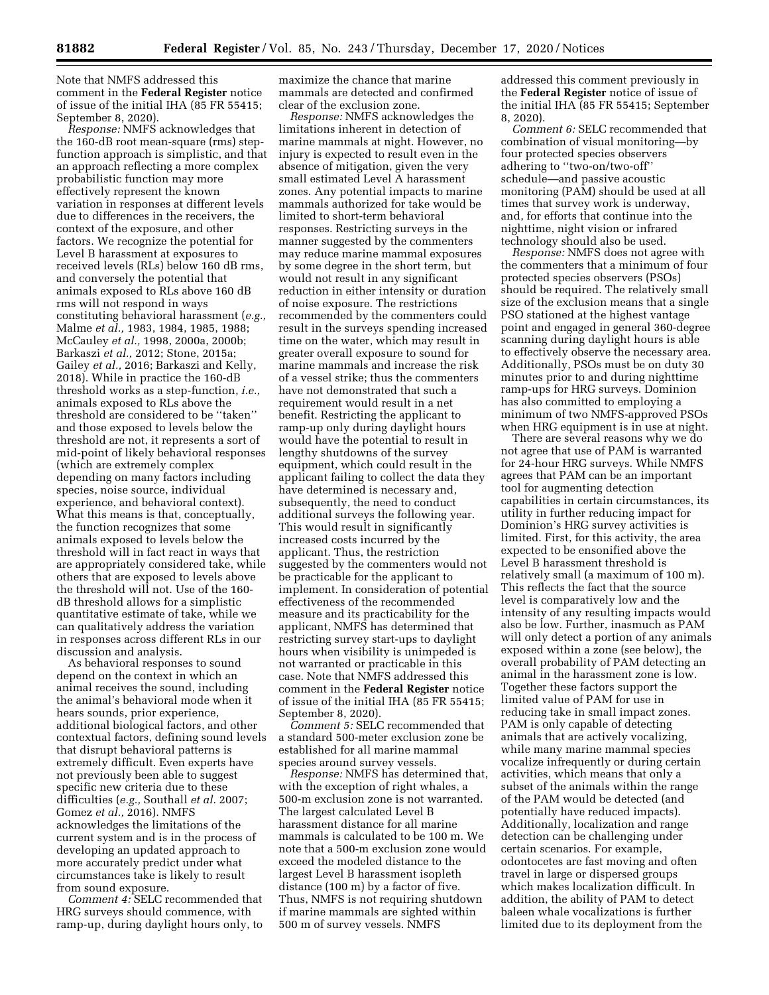Note that NMFS addressed this comment in the **Federal Register** notice of issue of the initial IHA (85 FR 55415; September 8, 2020).

*Response:* NMFS acknowledges that the 160-dB root mean-square (rms) stepfunction approach is simplistic, and that an approach reflecting a more complex probabilistic function may more effectively represent the known variation in responses at different levels due to differences in the receivers, the context of the exposure, and other factors. We recognize the potential for Level B harassment at exposures to received levels (RLs) below 160 dB rms, and conversely the potential that animals exposed to RLs above 160 dB rms will not respond in ways constituting behavioral harassment (*e.g.,*  Malme *et al.,* 1983, 1984, 1985, 1988; McCauley *et al.,* 1998, 2000a, 2000b; Barkaszi *et al.,* 2012; Stone, 2015a; Gailey *et al.,* 2016; Barkaszi and Kelly, 2018). While in practice the 160-dB threshold works as a step-function, *i.e.,*  animals exposed to RLs above the threshold are considered to be ''taken'' and those exposed to levels below the threshold are not, it represents a sort of mid-point of likely behavioral responses (which are extremely complex depending on many factors including species, noise source, individual experience, and behavioral context). What this means is that, conceptually, the function recognizes that some animals exposed to levels below the threshold will in fact react in ways that are appropriately considered take, while others that are exposed to levels above the threshold will not. Use of the 160 dB threshold allows for a simplistic quantitative estimate of take, while we can qualitatively address the variation in responses across different RLs in our discussion and analysis.

As behavioral responses to sound depend on the context in which an animal receives the sound, including the animal's behavioral mode when it hears sounds, prior experience, additional biological factors, and other contextual factors, defining sound levels that disrupt behavioral patterns is extremely difficult. Even experts have not previously been able to suggest specific new criteria due to these difficulties (*e.g.,* Southall *et al.* 2007; Gomez *et al.,* 2016). NMFS acknowledges the limitations of the current system and is in the process of developing an updated approach to more accurately predict under what circumstances take is likely to result from sound exposure.

*Comment 4:* SELC recommended that HRG surveys should commence, with ramp-up, during daylight hours only, to

maximize the chance that marine mammals are detected and confirmed clear of the exclusion zone.

*Response:* NMFS acknowledges the limitations inherent in detection of marine mammals at night. However, no injury is expected to result even in the absence of mitigation, given the very small estimated Level A harassment zones. Any potential impacts to marine mammals authorized for take would be limited to short-term behavioral responses. Restricting surveys in the manner suggested by the commenters may reduce marine mammal exposures by some degree in the short term, but would not result in any significant reduction in either intensity or duration of noise exposure. The restrictions recommended by the commenters could result in the surveys spending increased time on the water, which may result in greater overall exposure to sound for marine mammals and increase the risk of a vessel strike; thus the commenters have not demonstrated that such a requirement would result in a net benefit. Restricting the applicant to ramp-up only during daylight hours would have the potential to result in lengthy shutdowns of the survey equipment, which could result in the applicant failing to collect the data they have determined is necessary and, subsequently, the need to conduct additional surveys the following year. This would result in significantly increased costs incurred by the applicant. Thus, the restriction suggested by the commenters would not be practicable for the applicant to implement. In consideration of potential effectiveness of the recommended measure and its practicability for the applicant, NMFS has determined that restricting survey start-ups to daylight hours when visibility is unimpeded is not warranted or practicable in this case. Note that NMFS addressed this comment in the **Federal Register** notice of issue of the initial IHA (85 FR 55415; September 8, 2020).

*Comment 5:* SELC recommended that a standard 500-meter exclusion zone be established for all marine mammal species around survey vessels.

*Response:* NMFS has determined that, with the exception of right whales, a 500-m exclusion zone is not warranted. The largest calculated Level B harassment distance for all marine mammals is calculated to be 100 m. We note that a 500-m exclusion zone would exceed the modeled distance to the largest Level B harassment isopleth distance (100 m) by a factor of five. Thus, NMFS is not requiring shutdown if marine mammals are sighted within 500 m of survey vessels. NMFS

addressed this comment previously in the **Federal Register** notice of issue of the initial IHA (85 FR 55415; September 8, 2020).

*Comment 6:* SELC recommended that combination of visual monitoring—by four protected species observers adhering to ''two-on/two-off'' schedule—and passive acoustic monitoring (PAM) should be used at all times that survey work is underway, and, for efforts that continue into the nighttime, night vision or infrared technology should also be used.

*Response:* NMFS does not agree with the commenters that a minimum of four protected species observers (PSOs) should be required. The relatively small size of the exclusion means that a single PSO stationed at the highest vantage point and engaged in general 360-degree scanning during daylight hours is able to effectively observe the necessary area. Additionally, PSOs must be on duty 30 minutes prior to and during nighttime ramp-ups for HRG surveys. Dominion has also committed to employing a minimum of two NMFS-approved PSOs when HRG equipment is in use at night.

There are several reasons why we do not agree that use of PAM is warranted for 24-hour HRG surveys. While NMFS agrees that PAM can be an important tool for augmenting detection capabilities in certain circumstances, its utility in further reducing impact for Dominion's HRG survey activities is limited. First, for this activity, the area expected to be ensonified above the Level B harassment threshold is relatively small (a maximum of 100 m). This reflects the fact that the source level is comparatively low and the intensity of any resulting impacts would also be low. Further, inasmuch as PAM will only detect a portion of any animals exposed within a zone (see below), the overall probability of PAM detecting an animal in the harassment zone is low. Together these factors support the limited value of PAM for use in reducing take in small impact zones. PAM is only capable of detecting animals that are actively vocalizing, while many marine mammal species vocalize infrequently or during certain activities, which means that only a subset of the animals within the range of the PAM would be detected (and potentially have reduced impacts). Additionally, localization and range detection can be challenging under certain scenarios. For example, odontocetes are fast moving and often travel in large or dispersed groups which makes localization difficult. In addition, the ability of PAM to detect baleen whale vocalizations is further limited due to its deployment from the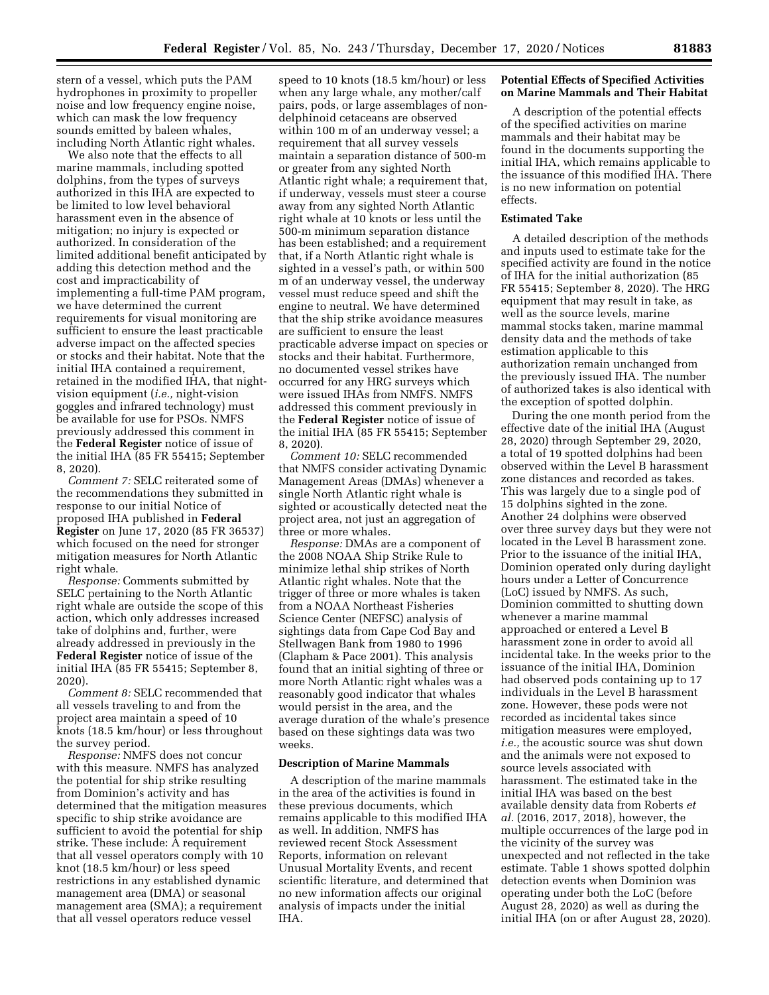stern of a vessel, which puts the PAM hydrophones in proximity to propeller noise and low frequency engine noise, which can mask the low frequency sounds emitted by baleen whales, including North Atlantic right whales.

We also note that the effects to all marine mammals, including spotted dolphins, from the types of surveys authorized in this IHA are expected to be limited to low level behavioral harassment even in the absence of mitigation; no injury is expected or authorized. In consideration of the limited additional benefit anticipated by adding this detection method and the cost and impracticability of implementing a full-time PAM program, we have determined the current requirements for visual monitoring are sufficient to ensure the least practicable adverse impact on the affected species or stocks and their habitat. Note that the initial IHA contained a requirement, retained in the modified IHA, that nightvision equipment (*i.e.,* night-vision goggles and infrared technology) must be available for use for PSOs. NMFS previously addressed this comment in the **Federal Register** notice of issue of the initial IHA (85 FR 55415; September 8, 2020).

*Comment 7:* SELC reiterated some of the recommendations they submitted in response to our initial Notice of proposed IHA published in **Federal Register** on June 17, 2020 (85 FR 36537) which focused on the need for stronger mitigation measures for North Atlantic right whale.

*Response:* Comments submitted by SELC pertaining to the North Atlantic right whale are outside the scope of this action, which only addresses increased take of dolphins and, further, were already addressed in previously in the **Federal Register** notice of issue of the initial IHA (85 FR 55415; September 8, 2020).

*Comment 8:* SELC recommended that all vessels traveling to and from the project area maintain a speed of 10 knots (18.5 km/hour) or less throughout the survey period.

*Response:* NMFS does not concur with this measure. NMFS has analyzed the potential for ship strike resulting from Dominion's activity and has determined that the mitigation measures specific to ship strike avoidance are sufficient to avoid the potential for ship strike. These include: A requirement that all vessel operators comply with 10 knot (18.5 km/hour) or less speed restrictions in any established dynamic management area (DMA) or seasonal management area (SMA); a requirement that all vessel operators reduce vessel

speed to 10 knots (18.5 km/hour) or less when any large whale, any mother/calf pairs, pods, or large assemblages of nondelphinoid cetaceans are observed within 100 m of an underway vessel; a requirement that all survey vessels maintain a separation distance of 500-m or greater from any sighted North Atlantic right whale; a requirement that, if underway, vessels must steer a course away from any sighted North Atlantic right whale at 10 knots or less until the 500-m minimum separation distance has been established; and a requirement that, if a North Atlantic right whale is sighted in a vessel's path, or within 500 m of an underway vessel, the underway vessel must reduce speed and shift the engine to neutral. We have determined that the ship strike avoidance measures are sufficient to ensure the least practicable adverse impact on species or stocks and their habitat. Furthermore, no documented vessel strikes have occurred for any HRG surveys which were issued IHAs from NMFS. NMFS addressed this comment previously in the **Federal Register** notice of issue of the initial IHA (85 FR 55415; September 8, 2020).

*Comment 10:* SELC recommended that NMFS consider activating Dynamic Management Areas (DMAs) whenever a single North Atlantic right whale is sighted or acoustically detected neat the project area, not just an aggregation of three or more whales.

*Response:* DMAs are a component of the 2008 NOAA Ship Strike Rule to minimize lethal ship strikes of North Atlantic right whales. Note that the trigger of three or more whales is taken from a NOAA Northeast Fisheries Science Center (NEFSC) analysis of sightings data from Cape Cod Bay and Stellwagen Bank from 1980 to 1996 (Clapham & Pace 2001). This analysis found that an initial sighting of three or more North Atlantic right whales was a reasonably good indicator that whales would persist in the area, and the average duration of the whale's presence based on these sightings data was two weeks.

#### **Description of Marine Mammals**

A description of the marine mammals in the area of the activities is found in these previous documents, which remains applicable to this modified IHA as well. In addition, NMFS has reviewed recent Stock Assessment Reports, information on relevant Unusual Mortality Events, and recent scientific literature, and determined that no new information affects our original analysis of impacts under the initial IHA.

### **Potential Effects of Specified Activities on Marine Mammals and Their Habitat**

A description of the potential effects of the specified activities on marine mammals and their habitat may be found in the documents supporting the initial IHA, which remains applicable to the issuance of this modified IHA. There is no new information on potential effects.

# **Estimated Take**

A detailed description of the methods and inputs used to estimate take for the specified activity are found in the notice of IHA for the initial authorization (85 FR 55415; September 8, 2020). The HRG equipment that may result in take, as well as the source levels, marine mammal stocks taken, marine mammal density data and the methods of take estimation applicable to this authorization remain unchanged from the previously issued IHA. The number of authorized takes is also identical with the exception of spotted dolphin.

During the one month period from the effective date of the initial IHA (August 28, 2020) through September 29, 2020, a total of 19 spotted dolphins had been observed within the Level B harassment zone distances and recorded as takes. This was largely due to a single pod of 15 dolphins sighted in the zone. Another 24 dolphins were observed over three survey days but they were not located in the Level B harassment zone. Prior to the issuance of the initial IHA, Dominion operated only during daylight hours under a Letter of Concurrence (LoC) issued by NMFS. As such, Dominion committed to shutting down whenever a marine mammal approached or entered a Level B harassment zone in order to avoid all incidental take. In the weeks prior to the issuance of the initial IHA, Dominion had observed pods containing up to 17 individuals in the Level B harassment zone. However, these pods were not recorded as incidental takes since mitigation measures were employed, *i.e.,* the acoustic source was shut down and the animals were not exposed to source levels associated with harassment. The estimated take in the initial IHA was based on the best available density data from Roberts *et al.* (2016, 2017, 2018), however, the multiple occurrences of the large pod in the vicinity of the survey was unexpected and not reflected in the take estimate. Table 1 shows spotted dolphin detection events when Dominion was operating under both the LoC (before August 28, 2020) as well as during the initial IHA (on or after August 28, 2020).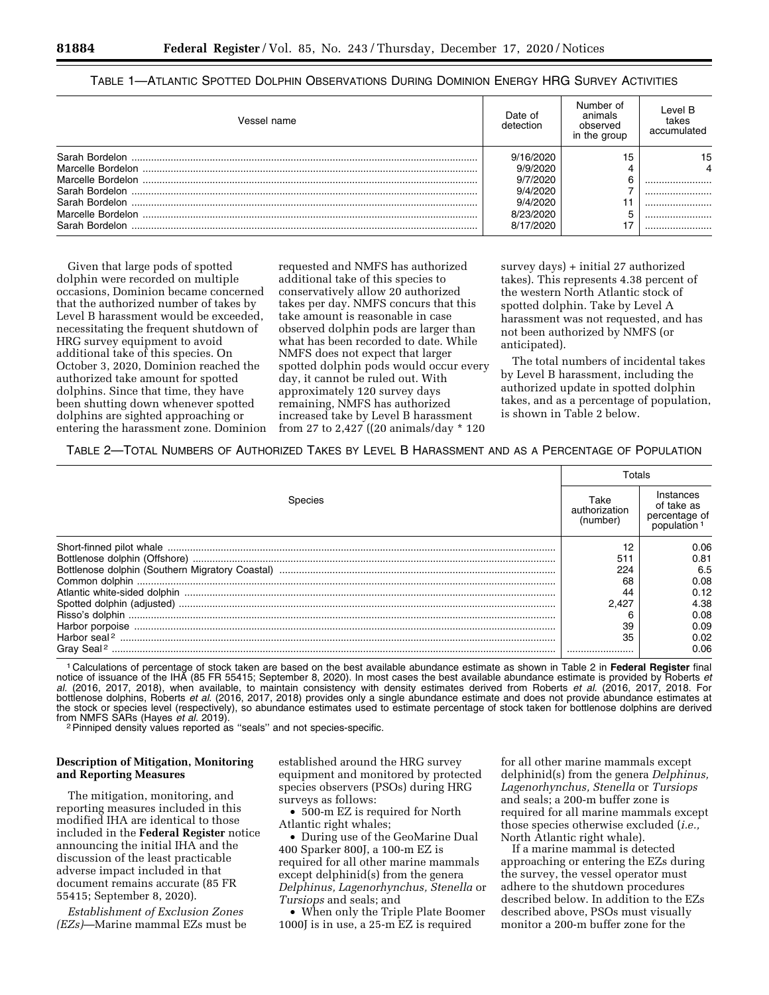# TABLE 1—ATLANTIC SPOTTED DOLPHIN OBSERVATIONS DURING DOMINION ENERGY HRG SURVEY ACTIVITIES

| Vessel name | Date of<br>detection | Number of<br>animals<br>observed<br>in the group | Level B<br>takes<br>accumulated |
|-------------|----------------------|--------------------------------------------------|---------------------------------|
|             | 9/16/2020            | 15                                               | 15                              |
|             | 9/9/2020             |                                                  |                                 |
|             | 9/7/2020             |                                                  |                                 |
|             | 9/4/2020             |                                                  |                                 |
|             | 9/4/2020             |                                                  |                                 |
|             | 8/23/2020            |                                                  |                                 |
|             | 8/17/2020            |                                                  |                                 |
|             |                      |                                                  |                                 |

Given that large pods of spotted dolphin were recorded on multiple occasions, Dominion became concerned that the authorized number of takes by Level B harassment would be exceeded, necessitating the frequent shutdown of HRG survey equipment to avoid additional take of this species. On October 3, 2020, Dominion reached the authorized take amount for spotted dolphins. Since that time, they have been shutting down whenever spotted dolphins are sighted approaching or entering the harassment zone. Dominion

requested and NMFS has authorized additional take of this species to conservatively allow 20 authorized takes per day. NMFS concurs that this take amount is reasonable in case observed dolphin pods are larger than what has been recorded to date. While NMFS does not expect that larger spotted dolphin pods would occur every day, it cannot be ruled out. With approximately 120 survey days remaining, NMFS has authorized increased take by Level B harassment from 27 to 2,427 ((20 animals/day \* 120

survey days) + initial 27 authorized takes). This represents 4.38 percent of the western North Atlantic stock of spotted dolphin. Take by Level A harassment was not requested, and has not been authorized by NMFS (or anticipated).

The total numbers of incidental takes by Level B harassment, including the authorized update in spotted dolphin takes, and as a percentage of population, is shown in Table 2 below.

# TABLE 2—TOTAL NUMBERS OF AUTHORIZED TAKES BY LEVEL B HARASSMENT AND AS A PERCENTAGE OF POPULATION

|         |                                   | Totals                                                              |  |
|---------|-----------------------------------|---------------------------------------------------------------------|--|
| Species | Take<br>authorization<br>(number) | Instances<br>of take as<br>percentage of<br>population <sup>1</sup> |  |
|         |                                   | 0.06                                                                |  |
|         | 511                               | 0.81                                                                |  |
|         | 224                               | 6.5                                                                 |  |
|         | 68                                | 0.08                                                                |  |
|         |                                   | 0.12                                                                |  |
|         | 2.427                             | 4.38                                                                |  |
|         |                                   | 0.08                                                                |  |
|         | 39                                | 0.09                                                                |  |
|         | 35                                | 0.02                                                                |  |
|         |                                   | 0.06                                                                |  |

1 Calculations of percentage of stock taken are based on the best available abundance estimate as shown in Table 2 in **Federal Register** final notice of issuance of the IHA (85 FR 55415; September 8, 2020). In most cases the best available abundance estimate is provided by Roberts *et*<br>*al.* (2016, 2017, 2018), when available, to maintain consistency with density bottlenose dolphins, Roberts *et al.* (2016, 2017, 2018) provides only a single abundance estimate and does not provide abundance estimates at the stock or species level (respectively), so abundance estimates used to estimate percentage of stock taken for bottlenose dolphins are derived from NMFS SARs (Hayes *et al. 2019).* <sup>2</sup><br><sup>2</sup> Pinniped density values reported as "seals" and not species-specific.

### **Description of Mitigation, Monitoring and Reporting Measures**

The mitigation, monitoring, and reporting measures included in this modified IHA are identical to those included in the **Federal Register** notice announcing the initial IHA and the discussion of the least practicable adverse impact included in that document remains accurate (85 FR 55415; September 8, 2020).

*Establishment of Exclusion Zones (EZs)*—Marine mammal EZs must be established around the HRG survey equipment and monitored by protected species observers (PSOs) during HRG surveys as follows:

• 500-m EZ is required for North Atlantic right whales;

• During use of the GeoMarine Dual 400 Sparker 800J, a 100-m EZ is required for all other marine mammals except delphinid(s) from the genera *Delphinus, Lagenorhynchus, Stenella* or *Tursiops* and seals; and

• When only the Triple Plate Boomer 1000J is in use, a 25-m EZ is required

for all other marine mammals except delphinid(s) from the genera *Delphinus, Lagenorhynchus, Stenella* or *Tursiops*  and seals; a 200-m buffer zone is required for all marine mammals except those species otherwise excluded (*i.e.,*  North Atlantic right whale).

If a marine mammal is detected approaching or entering the EZs during the survey, the vessel operator must adhere to the shutdown procedures described below. In addition to the EZs described above, PSOs must visually monitor a 200-m buffer zone for the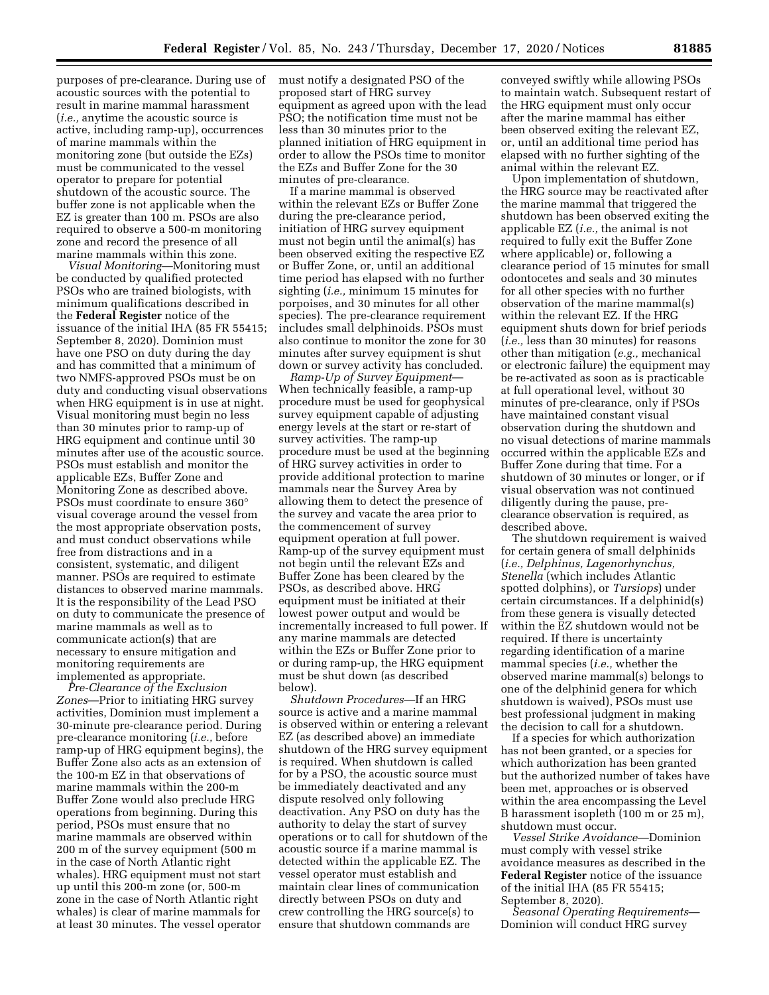purposes of pre-clearance. During use of acoustic sources with the potential to result in marine mammal harassment (*i.e.,* anytime the acoustic source is active, including ramp-up), occurrences of marine mammals within the monitoring zone (but outside the EZs) must be communicated to the vessel operator to prepare for potential shutdown of the acoustic source. The buffer zone is not applicable when the EZ is greater than 100 m. PSOs are also required to observe a 500-m monitoring zone and record the presence of all marine mammals within this zone.

*Visual Monitoring*—Monitoring must be conducted by qualified protected PSOs who are trained biologists, with minimum qualifications described in the **Federal Register** notice of the issuance of the initial IHA (85 FR 55415; September 8, 2020). Dominion must have one PSO on duty during the day and has committed that a minimum of two NMFS-approved PSOs must be on duty and conducting visual observations when HRG equipment is in use at night. Visual monitoring must begin no less than 30 minutes prior to ramp-up of HRG equipment and continue until 30 minutes after use of the acoustic source. PSOs must establish and monitor the applicable EZs, Buffer Zone and Monitoring Zone as described above. PSOs must coordinate to ensure 360° visual coverage around the vessel from the most appropriate observation posts, and must conduct observations while free from distractions and in a consistent, systematic, and diligent manner. PSOs are required to estimate distances to observed marine mammals. It is the responsibility of the Lead PSO on duty to communicate the presence of marine mammals as well as to communicate action(s) that are necessary to ensure mitigation and monitoring requirements are implemented as appropriate.

*Pre-Clearance of the Exclusion Zones*—Prior to initiating HRG survey activities, Dominion must implement a 30-minute pre-clearance period. During pre-clearance monitoring (*i.e.,* before ramp-up of HRG equipment begins), the Buffer Zone also acts as an extension of the 100-m EZ in that observations of marine mammals within the 200-m Buffer Zone would also preclude HRG operations from beginning. During this period, PSOs must ensure that no marine mammals are observed within 200 m of the survey equipment (500 m in the case of North Atlantic right whales). HRG equipment must not start up until this 200-m zone (or, 500-m zone in the case of North Atlantic right whales) is clear of marine mammals for at least 30 minutes. The vessel operator

must notify a designated PSO of the proposed start of HRG survey equipment as agreed upon with the lead PSO; the notification time must not be less than 30 minutes prior to the planned initiation of HRG equipment in order to allow the PSOs time to monitor the EZs and Buffer Zone for the 30 minutes of pre-clearance.

If a marine mammal is observed within the relevant EZs or Buffer Zone during the pre-clearance period, initiation of HRG survey equipment must not begin until the animal(s) has been observed exiting the respective EZ or Buffer Zone, or, until an additional time period has elapsed with no further sighting (*i.e.,* minimum 15 minutes for porpoises, and 30 minutes for all other species). The pre-clearance requirement includes small delphinoids. PSOs must also continue to monitor the zone for 30 minutes after survey equipment is shut down or survey activity has concluded.

*Ramp-Up of Survey Equipment*— When technically feasible, a ramp-up procedure must be used for geophysical survey equipment capable of adjusting energy levels at the start or re-start of survey activities. The ramp-up procedure must be used at the beginning of HRG survey activities in order to provide additional protection to marine mammals near the Survey Area by allowing them to detect the presence of the survey and vacate the area prior to the commencement of survey equipment operation at full power. Ramp-up of the survey equipment must not begin until the relevant EZs and Buffer Zone has been cleared by the PSOs, as described above. HRG equipment must be initiated at their lowest power output and would be incrementally increased to full power. If any marine mammals are detected within the EZs or Buffer Zone prior to or during ramp-up, the HRG equipment must be shut down (as described below).

*Shutdown Procedures*—If an HRG source is active and a marine mammal is observed within or entering a relevant EZ (as described above) an immediate shutdown of the HRG survey equipment is required. When shutdown is called for by a PSO, the acoustic source must be immediately deactivated and any dispute resolved only following deactivation. Any PSO on duty has the authority to delay the start of survey operations or to call for shutdown of the acoustic source if a marine mammal is detected within the applicable EZ. The vessel operator must establish and maintain clear lines of communication directly between PSOs on duty and crew controlling the HRG source(s) to ensure that shutdown commands are

conveyed swiftly while allowing PSOs to maintain watch. Subsequent restart of the HRG equipment must only occur after the marine mammal has either been observed exiting the relevant EZ, or, until an additional time period has elapsed with no further sighting of the animal within the relevant EZ.

Upon implementation of shutdown, the HRG source may be reactivated after the marine mammal that triggered the shutdown has been observed exiting the applicable EZ (*i.e.,* the animal is not required to fully exit the Buffer Zone where applicable) or, following a clearance period of 15 minutes for small odontocetes and seals and 30 minutes for all other species with no further observation of the marine mammal(s) within the relevant EZ. If the HRG equipment shuts down for brief periods (*i.e.,* less than 30 minutes) for reasons other than mitigation (*e.g.,* mechanical or electronic failure) the equipment may be re-activated as soon as is practicable at full operational level, without 30 minutes of pre-clearance, only if PSOs have maintained constant visual observation during the shutdown and no visual detections of marine mammals occurred within the applicable EZs and Buffer Zone during that time. For a shutdown of 30 minutes or longer, or if visual observation was not continued diligently during the pause, preclearance observation is required, as described above.

The shutdown requirement is waived for certain genera of small delphinids (*i.e., Delphinus, Lagenorhynchus, Stenella* (which includes Atlantic spotted dolphins), or *Tursiops*) under certain circumstances. If a delphinid(s) from these genera is visually detected within the EZ shutdown would not be required. If there is uncertainty regarding identification of a marine mammal species (*i.e.,* whether the observed marine mammal(s) belongs to one of the delphinid genera for which shutdown is waived), PSOs must use best professional judgment in making the decision to call for a shutdown.

If a species for which authorization has not been granted, or a species for which authorization has been granted but the authorized number of takes have been met, approaches or is observed within the area encompassing the Level B harassment isopleth (100 m or 25 m), shutdown must occur.

*Vessel Strike Avoidance*—Dominion must comply with vessel strike avoidance measures as described in the **Federal Register** notice of the issuance of the initial IHA (85 FR 55415; September 8, 2020).

*Seasonal Operating Requirements*— Dominion will conduct HRG survey